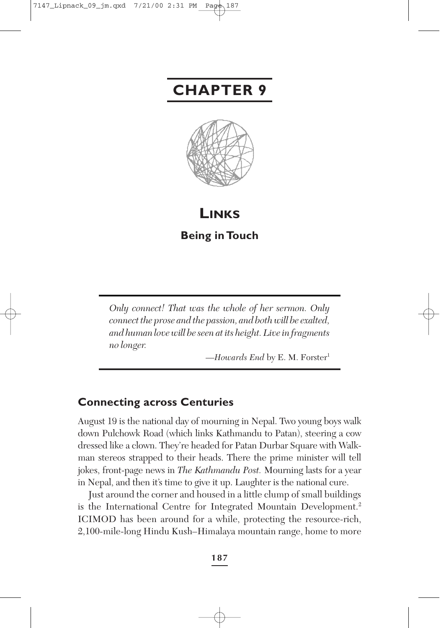# **CHAPTER 9**



**LINKS**

**Being in Touch**

*Only connect! That was the whole of her sermon. Only connect the prose and the passion, and both will be exalted, and human love will be seen at its height. Live in fragments no longer.*

*—Howards End* by E. M. Forster<sup>1</sup>

# **Connecting across Centuries**

August 19 is the national day of mourning in Nepal. Two young boys walk down Pulchowk Road (which links Kathmandu to Patan), steering a cow dressed like a clown. They're headed for Patan Durbar Square with Walkman stereos strapped to their heads. There the prime minister will tell jokes, front-page news in *The Kathmandu Post.* Mourning lasts for a year in Nepal, and then it's time to give it up. Laughter is the national cure.

Just around the corner and housed in a little clump of small buildings is the International Centre for Integrated Mountain Development.<sup>2</sup> ICIMOD has been around for a while, protecting the resource-rich, 2,100-mile-long Hindu Kush–Himalaya mountain range, home to more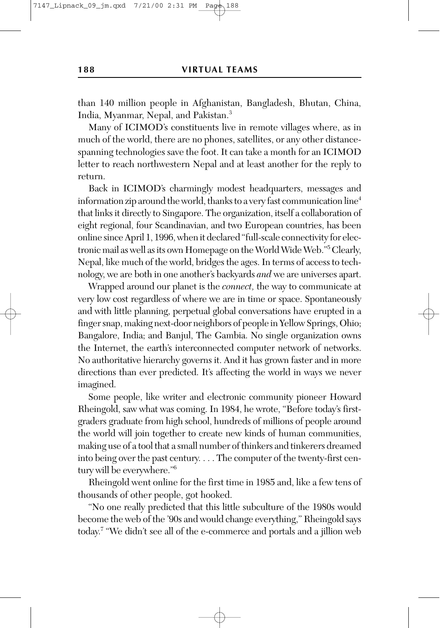than 140 million people in Afghanistan, Bangladesh, Bhutan, China, India, Myanmar, Nepal, and Pakistan.3

Many of ICIMOD's constituents live in remote villages where, as in much of the world, there are no phones, satellites, or any other distancespanning technologies save the foot. It can take a month for an ICIMOD letter to reach northwestern Nepal and at least another for the reply to return.

Back in ICIMOD's charmingly modest headquarters, messages and information zip around the world, thanks to a very fast communication line4 that links it directly to Singapore. The organization, itself a collaboration of eight regional, four Scandinavian, and two European countries, has been online since April 1, 1996, when it declared "full-scale connectivity for electronic mail as well as its own Homepage on the World Wide Web."5 Clearly, Nepal, like much of the world, bridges the ages. In terms of access to technology, we are both in one another's backyards *and* we are universes apart.

Wrapped around our planet is the *connect,* the way to communicate at very low cost regardless of where we are in time or space. Spontaneously and with little planning, perpetual global conversations have erupted in a finger snap, making next-door neighbors of people in Yellow Springs, Ohio; Bangalore, India; and Banjul, The Gambia. No single organization owns the Internet, the earth's interconnected computer network of networks. No authoritative hierarchy governs it. And it has grown faster and in more directions than ever predicted. It's affecting the world in ways we never imagined.

Some people, like writer and electronic community pioneer Howard Rheingold, saw what was coming. In 1984, he wrote, "Before today's firstgraders graduate from high school, hundreds of millions of people around the world will join together to create new kinds of human communities, making use of a tool that a small number of thinkers and tinkerers dreamed into being over the past century. . . . The computer of the twenty-first century will be everywhere."6

Rheingold went online for the first time in 1985 and, like a few tens of thousands of other people, got hooked.

"No one really predicted that this little subculture of the 1980s would become the web of the '90s and would change everything," Rheingold says today.7 "We didn't see all of the e-commerce and portals and a jillion web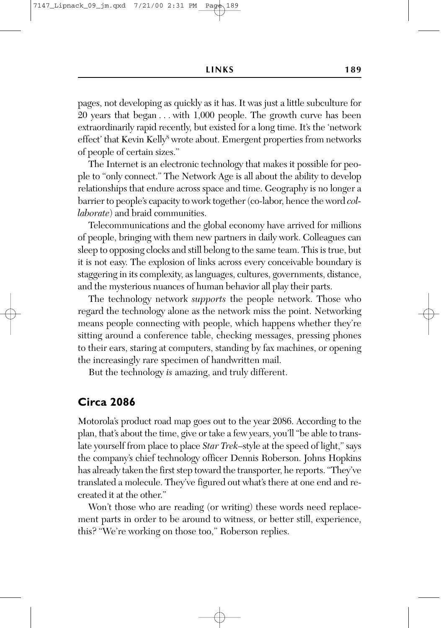pages, not developing as quickly as it has. It was just a little subculture for 20 years that began... with 1,000 people. The growth curve has been extraordinarily rapid recently, but existed for a long time. It's the 'network effect' that Kevin Kelly<sup>8</sup> wrote about. Emergent properties from networks of people of certain sizes."

The Internet is an electronic technology that makes it possible for people to "only connect." The Network Age is all about the ability to develop relationships that endure across space and time. Geography is no longer a barrier to people's capacity to work together (co-labor, hence the word *collaborate*) and braid communities.

Telecommunications and the global economy have arrived for millions of people, bringing with them new partners in daily work. Colleagues can sleep to opposing clocks and still belong to the same team. This is true, but it is not easy. The explosion of links across every conceivable boundary is staggering in its complexity, as languages, cultures, governments, distance, and the mysterious nuances of human behavior all play their parts.

The technology network *supports* the people network. Those who regard the technology alone as the network miss the point. Networking means people connecting with people, which happens whether they're sitting around a conference table, checking messages, pressing phones to their ears, staring at computers, standing by fax machines, or opening the increasingly rare specimen of handwritten mail.

But the technology *is* amazing, and truly different.

# **Circa 2086**

Motorola's product road map goes out to the year 2086. According to the plan, that's about the time, give or take a few years, you'll "be able to translate yourself from place to place *Star Trek–*style at the speed of light," says the company's chief technology officer Dennis Roberson. Johns Hopkins has already taken the first step toward the transporter, he reports. "They've translated a molecule. They've figured out what's there at one end and recreated it at the other."

Won't those who are reading (or writing) these words need replacement parts in order to be around to witness, or better still, experience, this? "We're working on those too," Roberson replies.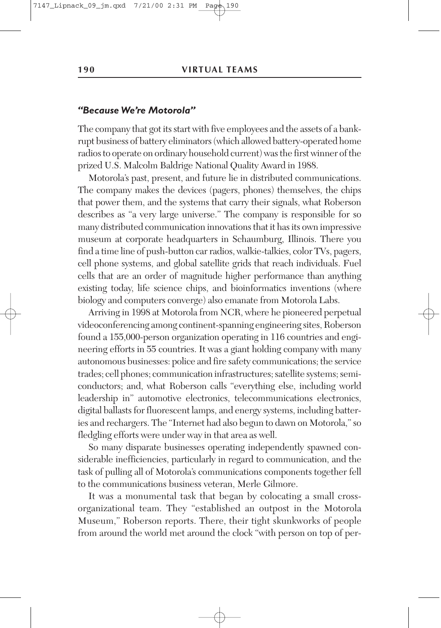### *"Because We're Motorola"*

The company that got its start with five employees and the assets of a bankrupt business of battery eliminators (which allowed battery-operated home radios to operate on ordinary household current) was the first winner of the prized U.S. Malcolm Baldrige National Quality Award in 1988.

Motorola's past, present, and future lie in distributed communications. The company makes the devices (pagers, phones) themselves, the chips that power them, and the systems that carry their signals, what Roberson describes as "a very large universe." The company is responsible for so many distributed communication innovations that it has its own impressive museum at corporate headquarters in Schaumburg, Illinois. There you find a time line of push-button car radios, walkie-talkies, color TVs, pagers, cell phone systems, and global satellite grids that reach individuals. Fuel cells that are an order of magnitude higher performance than anything existing today, life science chips, and bioinformatics inventions (where biology and computers converge) also emanate from Motorola Labs.

Arriving in 1998 at Motorola from NCR, where he pioneered perpetual videoconferencing among continent-spanning engineering sites, Roberson found a 155,000-person organization operating in 116 countries and engineering efforts in 55 countries. It was a giant holding company with many autonomous businesses: police and fire safety communications; the service trades; cell phones; communication infrastructures; satellite systems; semiconductors; and, what Roberson calls "everything else, including world leadership in" automotive electronics, telecommunications electronics, digital ballasts for fluorescent lamps, and energy systems, including batteries and rechargers. The "Internet had also begun to dawn on Motorola," so fledgling efforts were under way in that area as well.

So many disparate businesses operating independently spawned considerable inefficiencies, particularly in regard to communication, and the task of pulling all of Motorola's communications components together fell to the communications business veteran, Merle Gilmore.

It was a monumental task that began by colocating a small crossorganizational team. They "established an outpost in the Motorola Museum," Roberson reports. There, their tight skunkworks of people from around the world met around the clock "with person on top of per-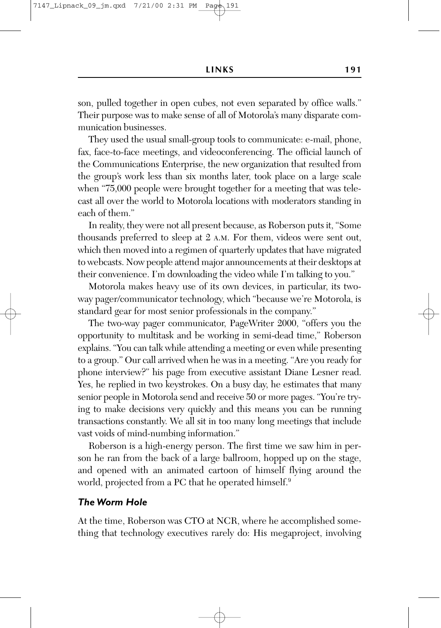son, pulled together in open cubes, not even separated by office walls." Their purpose was to make sense of all of Motorola's many disparate communication businesses.

They used the usual small-group tools to communicate: e-mail, phone, fax, face-to-face meetings, and videoconferencing. The official launch of the Communications Enterprise, the new organization that resulted from the group's work less than six months later, took place on a large scale when "75,000 people were brought together for a meeting that was telecast all over the world to Motorola locations with moderators standing in each of them."

In reality, they were not all present because, as Roberson puts it, "Some thousands preferred to sleep at 2 A.M. For them, videos were sent out, which then moved into a regimen of quarterly updates that have migrated to webcasts. Now people attend major announcements at their desktops at their convenience. I'm downloading the video while I'm talking to you."

Motorola makes heavy use of its own devices, in particular, its twoway pager/communicator technology, which "because we're Motorola, is standard gear for most senior professionals in the company."

The two-way pager communicator, PageWriter 2000, "offers you the opportunity to multitask and be working in semi-dead time," Roberson explains. "You can talk while attending a meeting or even while presenting to a group." Our call arrived when he was in a meeting. "Are you ready for phone interview?" his page from executive assistant Diane Lesner read. Yes, he replied in two keystrokes. On a busy day, he estimates that many senior people in Motorola send and receive 50 or more pages. "You're trying to make decisions very quickly and this means you can be running transactions constantly. We all sit in too many long meetings that include vast voids of mind-numbing information."

Roberson is a high-energy person. The first time we saw him in person he ran from the back of a large ballroom, hopped up on the stage, and opened with an animated cartoon of himself flying around the world, projected from a PC that he operated himself.<sup>9</sup>

### *The Worm Hole*

At the time, Roberson was CTO at NCR, where he accomplished something that technology executives rarely do: His megaproject, involving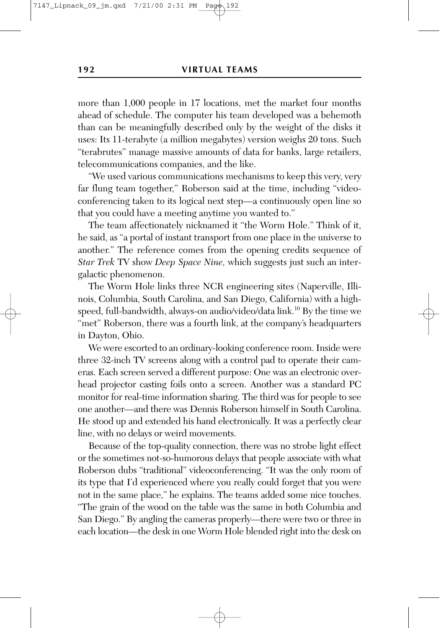more than 1,000 people in 17 locations, met the market four months ahead of schedule. The computer his team developed was a behemoth than can be meaningfully described only by the weight of the disks it uses: Its 11-terabyte (a million megabytes) version weighs 20 tons. Such "terabrutes" manage massive amounts of data for banks, large retailers, telecommunications companies, and the like.

"We used various communications mechanisms to keep this very, very far flung team together," Roberson said at the time, including "videoconferencing taken to its logical next step—a continuously open line so that you could have a meeting anytime you wanted to."

The team affectionately nicknamed it "the Worm Hole." Think of it, he said, as "a portal of instant transport from one place in the universe to another." The reference comes from the opening credits sequence of *Star Trek* TV show *Deep Space Nine,* which suggests just such an intergalactic phenomenon.

The Worm Hole links three NCR engineering sites (Naperville, Illinois, Columbia, South Carolina, and San Diego, California) with a highspeed, full-bandwidth, always-on audio/video/data link.<sup>10</sup> By the time we "met" Roberson, there was a fourth link, at the company's headquarters in Dayton, Ohio.

We were escorted to an ordinary-looking conference room. Inside were three 32-inch TV screens along with a control pad to operate their cameras. Each screen served a different purpose: One was an electronic overhead projector casting foils onto a screen. Another was a standard PC monitor for real-time information sharing. The third was for people to see one another—and there was Dennis Roberson himself in South Carolina. He stood up and extended his hand electronically. It was a perfectly clear line, with no delays or weird movements.

Because of the top-quality connection, there was no strobe light effect or the sometimes not-so-humorous delays that people associate with what Roberson dubs "traditional" videoconferencing. "It was the only room of its type that I'd experienced where you really could forget that you were not in the same place," he explains. The teams added some nice touches. "The grain of the wood on the table was the same in both Columbia and San Diego." By angling the cameras properly—there were two or three in each location—the desk in one Worm Hole blended right into the desk on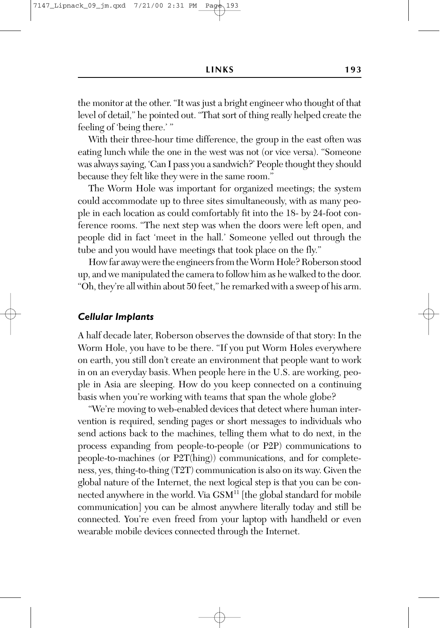the monitor at the other. "It was just a bright engineer who thought of that level of detail," he pointed out. "That sort of thing really helped create the feeling of 'being there.' "

With their three-hour time difference, the group in the east often was eating lunch while the one in the west was not (or vice versa). "Someone was always saying, 'Can I pass you a sandwich?' People thought they should because they felt like they were in the same room."

The Worm Hole was important for organized meetings; the system could accommodate up to three sites simultaneously, with as many people in each location as could comfortably fit into the 18- by 24-foot conference rooms. "The next step was when the doors were left open, and people did in fact 'meet in the hall.' Someone yelled out through the tube and you would have meetings that took place on the fly."

How far away were the engineers from the Worm Hole? Roberson stood up, and we manipulated the camera to follow him as he walked to the door. "Oh, they're all within about 50 feet," he remarked with a sweep of his arm.

#### *Cellular Implants*

A half decade later, Roberson observes the downside of that story: In the Worm Hole, you have to be there. "If you put Worm Holes everywhere on earth, you still don't create an environment that people want to work in on an everyday basis. When people here in the U.S. are working, people in Asia are sleeping. How do you keep connected on a continuing basis when you're working with teams that span the whole globe?

"We're moving to web-enabled devices that detect where human intervention is required, sending pages or short messages to individuals who send actions back to the machines, telling them what to do next, in the process expanding from people-to-people (or P2P) communications to people-to-machines (or P2T(hing)) communications, and for completeness, yes, thing-to-thing (T2T) communication is also on its way. Given the global nature of the Internet, the next logical step is that you can be connected anywhere in the world. Via  $\text{GSM}^{11}$  [the global standard for mobile communication] you can be almost anywhere literally today and still be connected. You're even freed from your laptop with handheld or even wearable mobile devices connected through the Internet.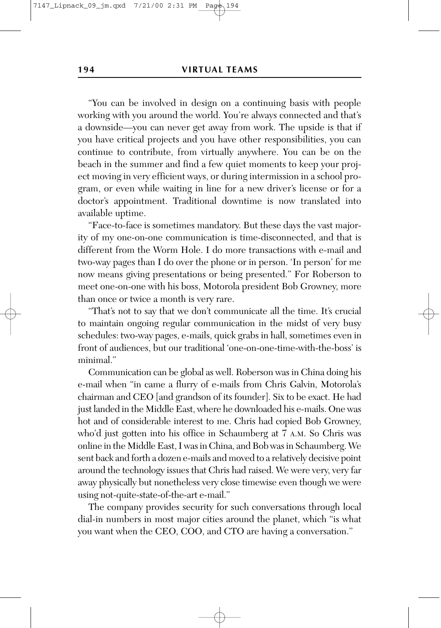"You can be involved in design on a continuing basis with people working with you around the world. You're always connected and that's a downside—you can never get away from work. The upside is that if you have critical projects and you have other responsibilities, you can continue to contribute, from virtually anywhere. You can be on the beach in the summer and find a few quiet moments to keep your project moving in very efficient ways, or during intermission in a school program, or even while waiting in line for a new driver's license or for a doctor's appointment. Traditional downtime is now translated into available uptime.

"Face-to-face is sometimes mandatory. But these days the vast majority of my one-on-one communication is time-disconnected, and that is different from the Worm Hole. I do more transactions with e-mail and two-way pages than I do over the phone or in person. 'In person' for me now means giving presentations or being presented." For Roberson to meet one-on-one with his boss, Motorola president Bob Growney, more than once or twice a month is very rare.

"That's not to say that we don't communicate all the time. It's crucial to maintain ongoing regular communication in the midst of very busy schedules: two-way pages, e-mails, quick grabs in hall, sometimes even in front of audiences, but our traditional 'one-on-one-time-with-the-boss' is minimal."

Communication can be global as well. Roberson was in China doing his e-mail when "in came a flurry of e-mails from Chris Galvin, Motorola's chairman and CEO [and grandson of its founder]. Six to be exact. He had just landed in the Middle East, where he downloaded his e-mails. One was hot and of considerable interest to me. Chris had copied Bob Growney, who'd just gotten into his office in Schaumberg at 7 A.M. So Chris was online in the Middle East, I was in China, and Bob was in Schaumberg. We sent back and forth a dozen e-mails and moved to a relatively decisive point around the technology issues that Chris had raised. We were very, very far away physically but nonetheless very close timewise even though we were using not-quite-state-of-the-art e-mail."

The company provides security for such conversations through local dial-in numbers in most major cities around the planet, which "is what you want when the CEO, COO, and CTO are having a conversation."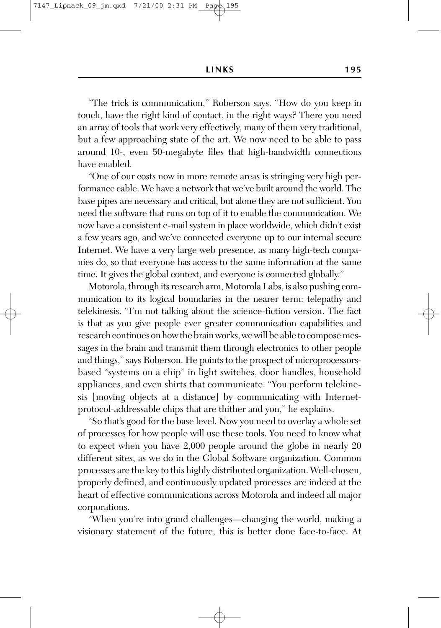"The trick is communication," Roberson says. "How do you keep in touch, have the right kind of contact, in the right ways? There you need an array of tools that work very effectively, many of them very traditional, but a few approaching state of the art. We now need to be able to pass around 10-, even 50-megabyte files that high-bandwidth connections have enabled.

"One of our costs now in more remote areas is stringing very high performance cable. We have a network that we've built around the world. The base pipes are necessary and critical, but alone they are not sufficient. You need the software that runs on top of it to enable the communication. We now have a consistent e-mail system in place worldwide, which didn't exist a few years ago, and we've connected everyone up to our internal secure Internet. We have a very large web presence, as many high-tech companies do, so that everyone has access to the same information at the same time. It gives the global context, and everyone is connected globally."

Motorola, through its research arm, Motorola Labs, is also pushing communication to its logical boundaries in the nearer term: telepathy and telekinesis. "I'm not talking about the science-fiction version. The fact is that as you give people ever greater communication capabilities and research continues on how the brain works, we will be able to compose messages in the brain and transmit them through electronics to other people and things," says Roberson. He points to the prospect of microprocessorsbased "systems on a chip" in light switches, door handles, household appliances, and even shirts that communicate. "You perform telekinesis [moving objects at a distance] by communicating with Internetprotocol-addressable chips that are thither and yon," he explains.

"So that's good for the base level. Now you need to overlay a whole set of processes for how people will use these tools. You need to know what to expect when you have 2,000 people around the globe in nearly 20 different sites, as we do in the Global Software organization. Common processes are the key to this highly distributed organization. Well-chosen, properly defined, and continuously updated processes are indeed at the heart of effective communications across Motorola and indeed all major corporations.

"When you're into grand challenges—changing the world, making a visionary statement of the future, this is better done face-to-face. At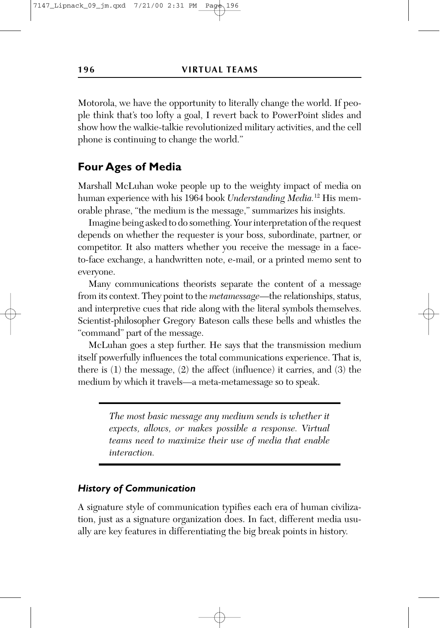Motorola, we have the opportunity to literally change the world. If people think that's too lofty a goal, I revert back to PowerPoint slides and show how the walkie-talkie revolutionized military activities, and the cell phone is continuing to change the world."

# **Four Ages of Media**

Marshall McLuhan woke people up to the weighty impact of media on human experience with his 1964 book *Understanding Media.*<sup>12</sup> His memorable phrase, "the medium is the message," summarizes his insights.

Imagine being asked to do something. Your interpretation of the request depends on whether the requester is your boss, subordinate, partner, or competitor. It also matters whether you receive the message in a faceto-face exchange, a handwritten note, e-mail, or a printed memo sent to everyone.

Many communications theorists separate the content of a message from its context. They point to the *metamessage—*the relationships, status, and interpretive cues that ride along with the literal symbols themselves. Scientist-philosopher Gregory Bateson calls these bells and whistles the "command" part of the message.

McLuhan goes a step further. He says that the transmission medium itself powerfully influences the total communications experience. That is, there is (1) the message, (2) the affect (influence) it carries, and (3) the medium by which it travels—a meta-metamessage so to speak.

> *The most basic message any medium sends is whether it expects, allows, or makes possible a response. Virtual teams need to maximize their use of media that enable interaction.*

# *History of Communication*

A signature style of communication typifies each era of human civilization, just as a signature organization does. In fact, different media usually are key features in differentiating the big break points in history.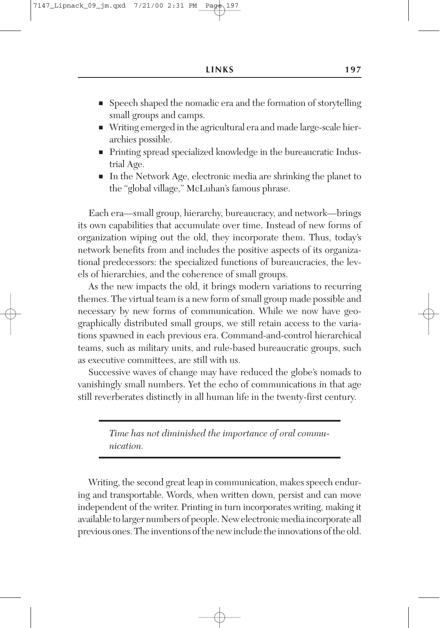- Speech shaped the nomadic era and the formation of storytelling small groups and camps.
- Writing emerged in the agricultural era and made large-scale hierarchies possible.
- Printing spread specialized knowledge in the bureaucratic Industrial Age.
- In the Network Age, electronic media are shrinking the planet to the "global village," McLuhan's famous phrase.

Each era—small group, hierarchy, bureaucracy, and network—brings its own capabilities that accumulate over time. Instead of new forms of organization wiping out the old, they incorporate them. Thus, today's network benefits from and includes the positive aspects of its organizational predecessors: the specialized functions of bureaucracies, the levels of hierarchies, and the coherence of small groups.

As the new impacts the old, it brings modern variations to recurring themes. The virtual team is a new form of small group made possible and necessary by new forms of communication. While we now have geographically distributed small groups, we still retain access to the variations spawned in each previous era. Command-and-control hierarchical teams, such as military units, and rule-based bureaucratic groups, such as executive committees, are still with us.

Successive waves of change may have reduced the globe's nomads to vanishingly small numbers. Yet the echo of communications in that age still reverberates distinctly in all human life in the twenty-first century.

> *Time has not diminished the importance of oral communication.*

Writing, the second great leap in communication, makes speech enduring and transportable. Words, when written down, persist and can move independent of the writer. Printing in turn incorporates writing, making it available to larger numbers of people. New electronic media incorporate all previous ones. The inventions of the new include the innovations of the old.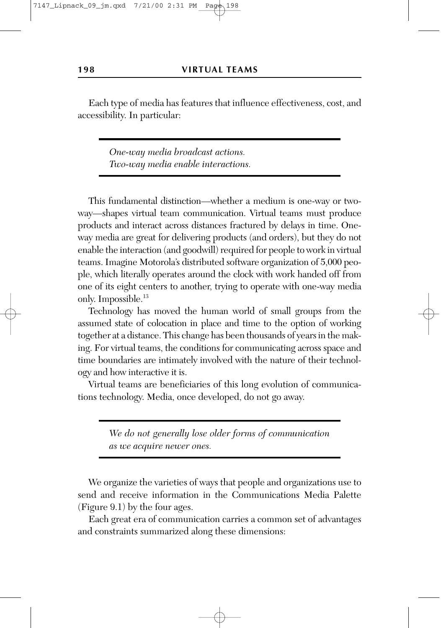Each type of media has features that influence effectiveness, cost, and accessibility. In particular:

> *One-way media broadcast actions. Two-way media enable interactions.*

This fundamental distinction—whether a medium is one-way or twoway—shapes virtual team communication. Virtual teams must produce products and interact across distances fractured by delays in time. Oneway media are great for delivering products (and orders), but they do not enable the interaction (and goodwill) required for people to work in virtual teams. Imagine Motorola's distributed software organization of 5,000 people, which literally operates around the clock with work handed off from one of its eight centers to another, trying to operate with one-way media only. Impossible.<sup>13</sup>

Technology has moved the human world of small groups from the assumed state of colocation in place and time to the option of working together at a distance. This change has been thousands of years in the making. For virtual teams, the conditions for communicating across space and time boundaries are intimately involved with the nature of their technology and how interactive it is.

Virtual teams are beneficiaries of this long evolution of communications technology. Media, once developed, do not go away.

> *We do not generally lose older forms of communication as we acquire newer ones.*

We organize the varieties of ways that people and organizations use to send and receive information in the Communications Media Palette (Figure 9.1) by the four ages.

Each great era of communication carries a common set of advantages and constraints summarized along these dimensions: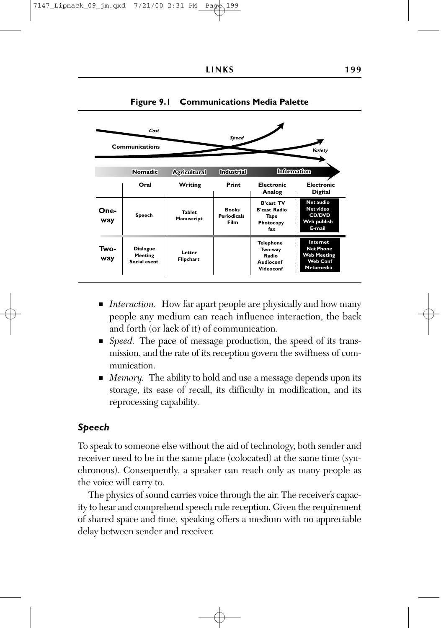|             | Cost<br><b>Communications</b>                     | <b>Speed</b><br>Variety     |                                                   |                                                                     |                                                                                    |
|-------------|---------------------------------------------------|-----------------------------|---------------------------------------------------|---------------------------------------------------------------------|------------------------------------------------------------------------------------|
|             | <b>Nomadic</b>                                    | <b>Agricultural</b>         | <b>Industrial</b>                                 |                                                                     | <b>Information</b>                                                                 |
|             | Oral                                              | Writing                     | Print                                             | Electronic<br>Analog                                                | <b>Electronic</b><br><b>Digital</b>                                                |
| One-<br>way | Speech                                            | <b>Tablet</b><br>Manuscript | <b>Books</b><br><b>Periodicals</b><br><b>Film</b> | <b>B'cast TV</b><br><b>B'cast Radio</b><br>Tape<br>Photocopy<br>fax | Net audio<br>Net video<br><b>CD/DVD</b><br>Web publish<br>E-mail                   |
| Two-<br>way | <b>Dialogue</b><br><b>Meeting</b><br>Social event | Letter<br>Flipchart         |                                                   | <b>Telephone</b><br>Two-way<br>Radio<br>Audioconf<br>Videoconf      | Internet<br><b>Net Phone</b><br><b>Web Meeting</b><br><b>Web Conf</b><br>Metamedia |

**Figure 9.1 Communications Media Palette**

- *Interaction.* How far apart people are physically and how many people any medium can reach influence interaction, the back and forth (or lack of it) of communication.
- *Speed.* The pace of message production, the speed of its transmission, and the rate of its reception govern the swiftness of communication.
- *Memory*. The ability to hold and use a message depends upon its storage, its ease of recall, its difficulty in modification, and its reprocessing capability.

# *Speech*

To speak to someone else without the aid of technology, both sender and receiver need to be in the same place (colocated) at the same time (synchronous). Consequently, a speaker can reach only as many people as the voice will carry to.

The physics of sound carries voice through the air. The receiver's capacity to hear and comprehend speech rule reception. Given the requirement of shared space and time, speaking offers a medium with no appreciable delay between sender and receiver.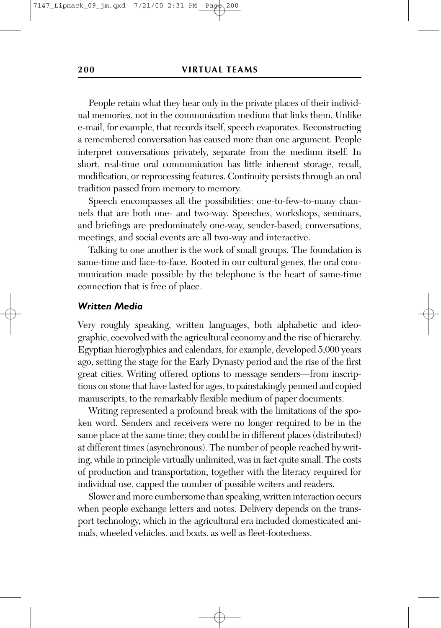People retain what they hear only in the private places of their individual memories, not in the communication medium that links them. Unlike e-mail, for example, that records itself, speech evaporates. Reconstructing a remembered conversation has caused more than one argument. People interpret conversations privately, separate from the medium itself. In short, real-time oral communication has little inherent storage, recall, modification, or reprocessing features. Continuity persists through an oral tradition passed from memory to memory.

Speech encompasses all the possibilities: one-to-few-to-many channels that are both one- and two-way. Speeches, workshops, seminars, and briefings are predominately one-way, sender-based; conversations, meetings, and social events are all two-way and interactive.

Talking to one another is the work of small groups. The foundation is same-time and face-to-face. Rooted in our cultural genes, the oral communication made possible by the telephone is the heart of same-time connection that is free of place.

#### *Written Media*

Very roughly speaking, written languages, both alphabetic and ideographic, coevolved with the agricultural economy and the rise of hierarchy. Egyptian hieroglyphics and calendars, for example, developed 5,000 years ago, setting the stage for the Early Dynasty period and the rise of the first great cities. Writing offered options to message senders—from inscriptions on stone that have lasted for ages, to painstakingly penned and copied manuscripts, to the remarkably flexible medium of paper documents.

Writing represented a profound break with the limitations of the spoken word. Senders and receivers were no longer required to be in the same place at the same time; they could be in different places (distributed) at different times (asynchronous). The number of people reached by writing, while in principle virtually unlimited, was in fact quite small. The costs of production and transportation, together with the literacy required for individual use, capped the number of possible writers and readers.

Slower and more cumbersome than speaking, written interaction occurs when people exchange letters and notes. Delivery depends on the transport technology, which in the agricultural era included domesticated animals, wheeled vehicles, and boats, as well as fleet-footedness.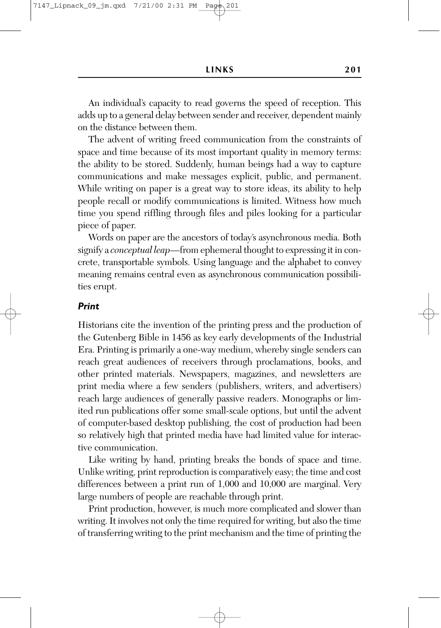An individual's capacity to read governs the speed of reception. This adds up to a general delay between sender and receiver, dependent mainly on the distance between them.

The advent of writing freed communication from the constraints of space and time because of its most important quality in memory terms: the ability to be stored. Suddenly, human beings had a way to capture communications and make messages explicit, public, and permanent. While writing on paper is a great way to store ideas, its ability to help people recall or modify communications is limited. Witness how much time you spend riffling through files and piles looking for a particular piece of paper.

Words on paper are the ancestors of today's asynchronous media. Both signify a *conceptual leap—*from ephemeral thought to expressing it in concrete, transportable symbols. Using language and the alphabet to convey meaning remains central even as asynchronous communication possibilities erupt.

#### *Print*

Historians cite the invention of the printing press and the production of the Gutenberg Bible in 1456 as key early developments of the Industrial Era. Printing is primarily a one-way medium, whereby single senders can reach great audiences of receivers through proclamations, books, and other printed materials. Newspapers, magazines, and newsletters are print media where a few senders (publishers, writers, and advertisers) reach large audiences of generally passive readers. Monographs or limited run publications offer some small-scale options, but until the advent of computer-based desktop publishing, the cost of production had been so relatively high that printed media have had limited value for interactive communication.

Like writing by hand, printing breaks the bonds of space and time. Unlike writing, print reproduction is comparatively easy; the time and cost differences between a print run of 1,000 and 10,000 are marginal. Very large numbers of people are reachable through print.

Print production, however, is much more complicated and slower than writing. It involves not only the time required for writing, but also the time of transferring writing to the print mechanism and the time of printing the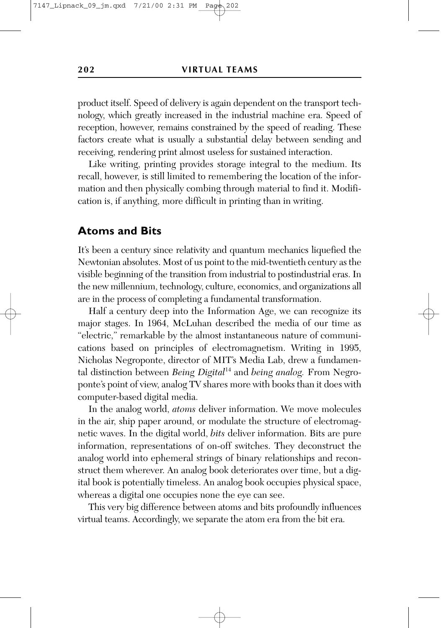product itself. Speed of delivery is again dependent on the transport technology, which greatly increased in the industrial machine era. Speed of reception, however, remains constrained by the speed of reading. These factors create what is usually a substantial delay between sending and receiving, rendering print almost useless for sustained interaction.

Like writing, printing provides storage integral to the medium. Its recall, however, is still limited to remembering the location of the information and then physically combing through material to find it. Modification is, if anything, more difficult in printing than in writing.

# **Atoms and Bits**

It's been a century since relativity and quantum mechanics liquefied the Newtonian absolutes. Most of us point to the mid-twentieth century as the visible beginning of the transition from industrial to postindustrial eras. In the new millennium, technology, culture, economics, and organizations all are in the process of completing a fundamental transformation.

Half a century deep into the Information Age, we can recognize its major stages. In 1964, McLuhan described the media of our time as "electric," remarkable by the almost instantaneous nature of communications based on principles of electromagnetism. Writing in 1995, Nicholas Negroponte, director of MIT's Media Lab, drew a fundamental distinction between *Being Digital*<sup>14</sup> and *being analog.* From Negroponte's point of view, analog TV shares more with books than it does with computer-based digital media.

In the analog world, *atoms* deliver information. We move molecules in the air, ship paper around, or modulate the structure of electromagnetic waves. In the digital world, *bits* deliver information. Bits are pure information, representations of on-off switches. They deconstruct the analog world into ephemeral strings of binary relationships and reconstruct them wherever. An analog book deteriorates over time, but a digital book is potentially timeless. An analog book occupies physical space, whereas a digital one occupies none the eye can see.

This very big difference between atoms and bits profoundly influences virtual teams. Accordingly, we separate the atom era from the bit era.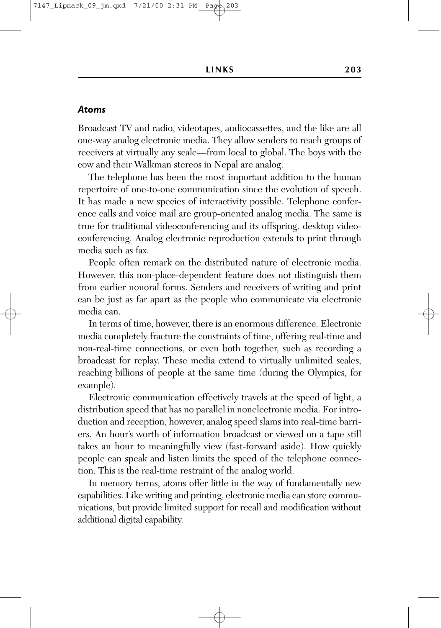#### *Atoms*

Broadcast TV and radio, videotapes, audiocassettes, and the like are all one-way analog electronic media. They allow senders to reach groups of receivers at virtually any scale—from local to global. The boys with the cow and their Walkman stereos in Nepal are analog.

The telephone has been the most important addition to the human repertoire of one-to-one communication since the evolution of speech. It has made a new species of interactivity possible. Telephone conference calls and voice mail are group-oriented analog media. The same is true for traditional videoconferencing and its offspring, desktop videoconferencing. Analog electronic reproduction extends to print through media such as fax.

People often remark on the distributed nature of electronic media. However, this non-place-dependent feature does not distinguish them from earlier nonoral forms. Senders and receivers of writing and print can be just as far apart as the people who communicate via electronic media can.

In terms of time, however, there is an enormous difference. Electronic media completely fracture the constraints of time, offering real-time and non-real-time connections, or even both together, such as recording a broadcast for replay. These media extend to virtually unlimited scales, reaching billions of people at the same time (during the Olympics, for example).

Electronic communication effectively travels at the speed of light, a distribution speed that has no parallel in nonelectronic media. For introduction and reception, however, analog speed slams into real-time barriers. An hour's worth of information broadcast or viewed on a tape still takes an hour to meaningfully view (fast-forward aside). How quickly people can speak and listen limits the speed of the telephone connection. This is the real-time restraint of the analog world.

In memory terms, atoms offer little in the way of fundamentally new capabilities. Like writing and printing, electronic media can store communications, but provide limited support for recall and modification without additional digital capability.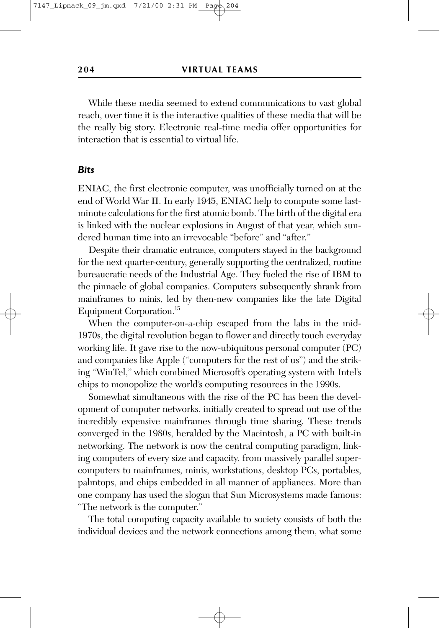While these media seemed to extend communications to vast global reach, over time it is the interactive qualities of these media that will be the really big story. Electronic real-time media offer opportunities for interaction that is essential to virtual life.

#### *Bits*

ENIAC, the first electronic computer, was unofficially turned on at the end of World War II. In early 1945, ENIAC help to compute some lastminute calculations for the first atomic bomb. The birth of the digital era is linked with the nuclear explosions in August of that year, which sundered human time into an irrevocable "before" and "after."

Despite their dramatic entrance, computers stayed in the background for the next quarter-century, generally supporting the centralized, routine bureaucratic needs of the Industrial Age. They fueled the rise of IBM to the pinnacle of global companies. Computers subsequently shrank from mainframes to minis, led by then-new companies like the late Digital Equipment Corporation.<sup>15</sup>

When the computer-on-a-chip escaped from the labs in the mid-1970s, the digital revolution began to flower and directly touch everyday working life. It gave rise to the now-ubiquitous personal computer (PC) and companies like Apple ("computers for the rest of us") and the striking "WinTel," which combined Microsoft's operating system with Intel's chips to monopolize the world's computing resources in the 1990s.

Somewhat simultaneous with the rise of the PC has been the development of computer networks, initially created to spread out use of the incredibly expensive mainframes through time sharing. These trends converged in the 1980s, heralded by the Macintosh, a PC with built-in networking. The network is now the central computing paradigm, linking computers of every size and capacity, from massively parallel supercomputers to mainframes, minis, workstations, desktop PCs, portables, palmtops, and chips embedded in all manner of appliances. More than one company has used the slogan that Sun Microsystems made famous: "The network is the computer."

The total computing capacity available to society consists of both the individual devices and the network connections among them, what some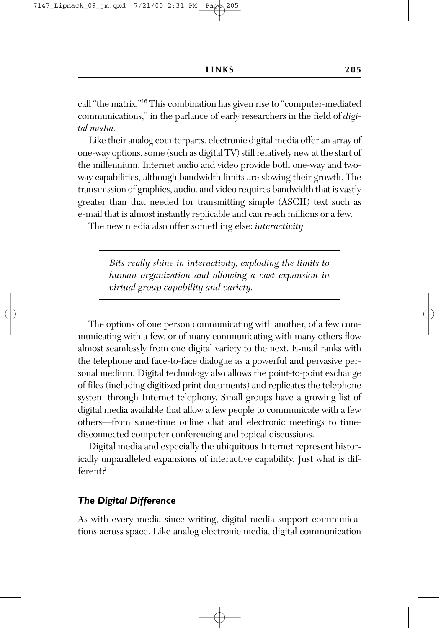call "the matrix."16 This combination has given rise to "computer-mediated communications," in the parlance of early researchers in the field of *digital media.*

Like their analog counterparts, electronic digital media offer an array of one-way options, some (such as digital TV) still relatively new at the start of the millennium. Internet audio and video provide both one-way and twoway capabilities, although bandwidth limits are slowing their growth. The transmission of graphics, audio, and video requires bandwidth that is vastly greater than that needed for transmitting simple (ASCII) text such as e-mail that is almost instantly replicable and can reach millions or a few.

The new media also offer something else: *interactivity.*

*Bits really shine in interactivity, exploding the limits to human organization and allowing a vast expansion in virtual group capability and variety.*

The options of one person communicating with another, of a few communicating with a few, or of many communicating with many others flow almost seamlessly from one digital variety to the next. E-mail ranks with the telephone and face-to-face dialogue as a powerful and pervasive personal medium. Digital technology also allows the point-to-point exchange of files (including digitized print documents) and replicates the telephone system through Internet telephony. Small groups have a growing list of digital media available that allow a few people to communicate with a few others—from same-time online chat and electronic meetings to timedisconnected computer conferencing and topical discussions.

Digital media and especially the ubiquitous Internet represent historically unparalleled expansions of interactive capability. Just what is different?

# *The Digital Difference*

As with every media since writing, digital media support communications across space. Like analog electronic media, digital communication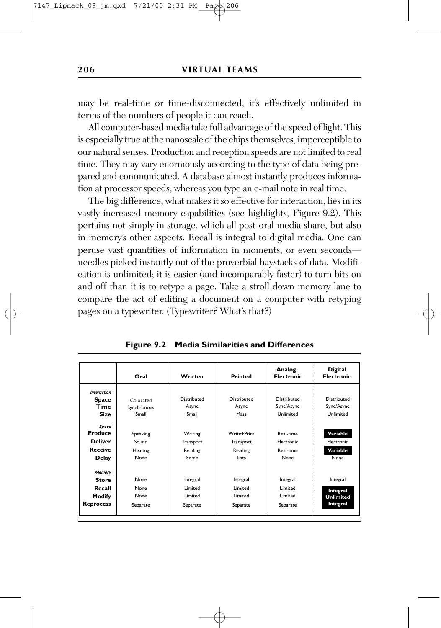may be real-time or time-disconnected; it's effectively unlimited in terms of the numbers of people it can reach.

All computer-based media take full advantage of the speed of light. This is especially true at the nanoscale of the chips themselves, imperceptible to our natural senses. Production and reception speeds are not limited to real time. They may vary enormously according to the type of data being prepared and communicated. A database almost instantly produces information at processor speeds, whereas you type an e-mail note in real time.

The big difference, what makes it so effective for interaction, lies in its vastly increased memory capabilities (see highlights, Figure 9.2). This pertains not simply in storage, which all post-oral media share, but also in memory's other aspects. Recall is integral to digital media. One can peruse vast quantities of information in moments, or even seconds needles picked instantly out of the proverbial haystacks of data. Modification is unlimited; it is easier (and incomparably faster) to turn bits on and off than it is to retype a page. Take a stroll down memory lane to compare the act of editing a document on a computer with retyping pages on a typewriter. (Typewriter? What's that?)

|                                                                | Oral                                 | Written                                    | <b>Printed</b>                              | Analog<br><b>Electronic</b>                  | <b>Digital</b><br><b>Electronic</b>                  |
|----------------------------------------------------------------|--------------------------------------|--------------------------------------------|---------------------------------------------|----------------------------------------------|------------------------------------------------------|
| <b>Interaction</b><br><b>Space</b><br>Time<br><b>Size</b>      | Colocated<br>Synchronous<br>Small    | Distributed<br>Async<br>Small              | Distributed<br>Async<br>Mass                | Distributed<br>Sync/Async<br>Unlimited       | Distributed<br>Sync/Async<br>Unlimited               |
| Speed<br>Produce<br><b>Deliver</b><br>Receive<br><b>Delay</b>  | Speaking<br>Sound<br>Hearing<br>None | Writing<br>Transport<br>Reading<br>Some    | Write+Print<br>Transport<br>Reading<br>Lots | Real-time<br>Electronic<br>Real-time<br>None | Variable<br>Electronic<br>Variable<br>None           |
| Memory<br><b>Store</b><br>Recall<br>Modify<br><b>Reprocess</b> | None<br>None<br>None<br>Separate     | Integral<br>Limited<br>Limited<br>Separate | Integral<br>Limited<br>Limited<br>Separate  | Integral<br>Limited<br>Limited<br>Separate   | Integral<br>Integral<br><b>Unlimited</b><br>Integral |

**Figure 9.2 Media Similarities and Differences**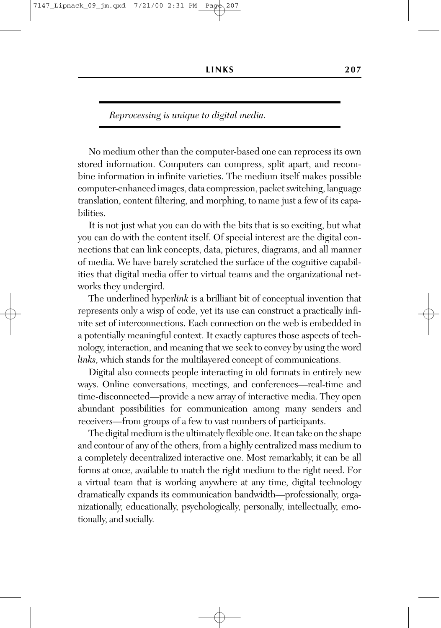*Reprocessing is unique to digital media.*

No medium other than the computer-based one can reprocess its own stored information. Computers can compress, split apart, and recombine information in infinite varieties. The medium itself makes possible computer-enhanced images, data compression, packet switching, language translation, content filtering, and morphing, to name just a few of its capabilities.

It is not just what you can do with the bits that is so exciting, but what you can do with the content itself. Of special interest are the digital connections that can link concepts, data, pictures, diagrams, and all manner of media. We have barely scratched the surface of the cognitive capabilities that digital media offer to virtual teams and the organizational networks they undergird.

The underlined hyper*link* is a brilliant bit of conceptual invention that represents only a wisp of code, yet its use can construct a practically infinite set of interconnections. Each connection on the web is embedded in a potentially meaningful context. It exactly captures those aspects of technology, interaction, and meaning that we seek to convey by using the word *links,* which stands for the multilayered concept of communications.

Digital also connects people interacting in old formats in entirely new ways. Online conversations, meetings, and conferences—real-time and time-disconnected—provide a new array of interactive media. They open abundant possibilities for communication among many senders and receivers—from groups of a few to vast numbers of participants.

The digital medium is the ultimately flexible one. It can take on the shape and contour of any of the others, from a highly centralized mass medium to a completely decentralized interactive one. Most remarkably, it can be all forms at once, available to match the right medium to the right need. For a virtual team that is working anywhere at any time, digital technology dramatically expands its communication bandwidth—professionally, organizationally, educationally, psychologically, personally, intellectually, emotionally, and socially.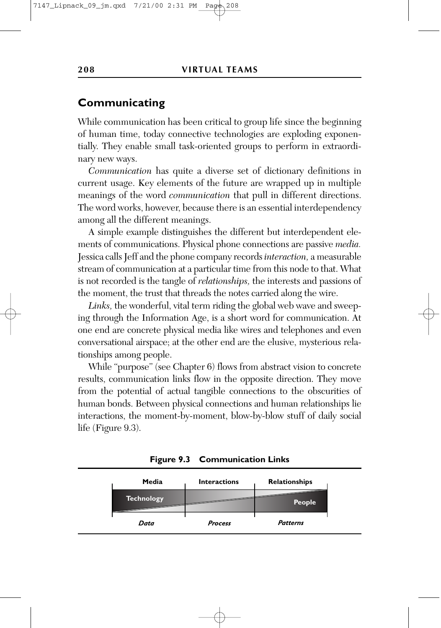# **Communicating**

While communication has been critical to group life since the beginning of human time, today connective technologies are exploding exponentially. They enable small task-oriented groups to perform in extraordinary new ways.

*Communication* has quite a diverse set of dictionary definitions in current usage. Key elements of the future are wrapped up in multiple meanings of the word *communication* that pull in different directions. The word works, however, because there is an essential interdependency among all the different meanings.

A simple example distinguishes the different but interdependent elements of communications. Physical phone connections are passive *media.* Jessica calls Jeff and the phone company records *interaction,* a measurable stream of communication at a particular time from this node to that. What is not recorded is the tangle of *relationships,* the interests and passions of the moment, the trust that threads the notes carried along the wire.

*Links,* the wonderful, vital term riding the global web wave and sweeping through the Information Age, is a short word for communication. At one end are concrete physical media like wires and telephones and even conversational airspace; at the other end are the elusive, mysterious relationships among people.

While "purpose" (see Chapter 6) flows from abstract vision to concrete results, communication links flow in the opposite direction. They move from the potential of actual tangible connections to the obscurities of human bonds. Between physical connections and human relationships lie interactions, the moment-by-moment, blow-by-blow stuff of daily social life (Figure 9.3).

| Media      | <b>Interactions</b> | <b>Relationships</b> |
|------------|---------------------|----------------------|
| Technology |                     | People               |
| Data       | <b>Process</b>      | <b>Patterns</b>      |

**Figure 9.3 Communication Links**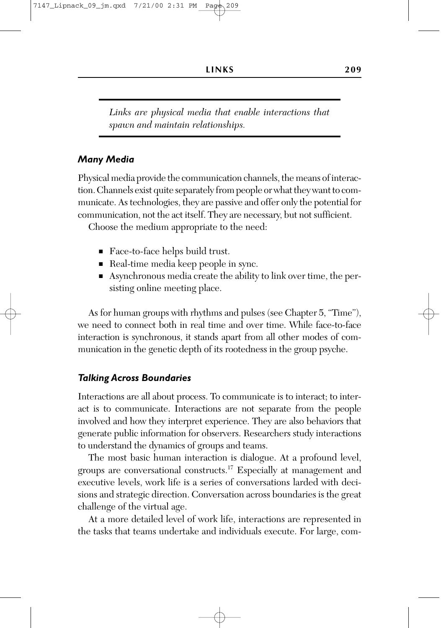*Links are physical media that enable interactions that spawn and maintain relationships.*

# *Many Media*

Physical media provide the communication channels, the means of interaction. Channels exist quite separately from people or what they want to communicate. As technologies, they are passive and offer only the potential for communication, not the act itself. They are necessary, but not sufficient.

Choose the medium appropriate to the need:

- Face-to-face helps build trust.
- Real-time media keep people in sync.
- Asynchronous media create the ability to link over time, the persisting online meeting place.

As for human groups with rhythms and pulses (see Chapter 5, "Time"), we need to connect both in real time and over time. While face-to-face interaction is synchronous, it stands apart from all other modes of communication in the genetic depth of its rootedness in the group psyche.

### *Talking Across Boundaries*

Interactions are all about process. To communicate is to interact; to interact is to communicate. Interactions are not separate from the people involved and how they interpret experience. They are also behaviors that generate public information for observers. Researchers study interactions to understand the dynamics of groups and teams.

The most basic human interaction is dialogue. At a profound level, groups are conversational constructs.<sup>17</sup> Especially at management and executive levels, work life is a series of conversations larded with decisions and strategic direction. Conversation across boundaries is the great challenge of the virtual age.

At a more detailed level of work life, interactions are represented in the tasks that teams undertake and individuals execute. For large, com